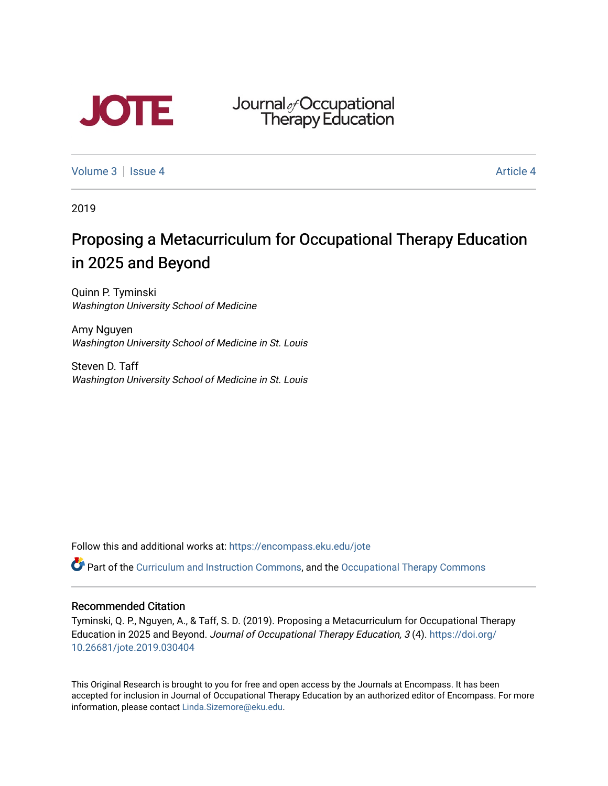

Journal<sub>&</sub>Occupational<br>Therapy Education

[Volume 3](https://encompass.eku.edu/jote/vol3) | [Issue 4](https://encompass.eku.edu/jote/vol3/iss4) Article 4

2019

# Proposing a Metacurriculum for Occupational Therapy Education in 2025 and Beyond

Quinn P. Tyminski Washington University School of Medicine

Amy Nguyen Washington University School of Medicine in St. Louis

Steven D. Taff Washington University School of Medicine in St. Louis

Follow this and additional works at: [https://encompass.eku.edu/jote](https://encompass.eku.edu/jote?utm_source=encompass.eku.edu%2Fjote%2Fvol3%2Fiss4%2F4&utm_medium=PDF&utm_campaign=PDFCoverPages) 

Part of the [Curriculum and Instruction Commons,](http://network.bepress.com/hgg/discipline/786?utm_source=encompass.eku.edu%2Fjote%2Fvol3%2Fiss4%2F4&utm_medium=PDF&utm_campaign=PDFCoverPages) and the [Occupational Therapy Commons](http://network.bepress.com/hgg/discipline/752?utm_source=encompass.eku.edu%2Fjote%2Fvol3%2Fiss4%2F4&utm_medium=PDF&utm_campaign=PDFCoverPages)

#### Recommended Citation

Tyminski, Q. P., Nguyen, A., & Taff, S. D. (2019). Proposing a Metacurriculum for Occupational Therapy Education in 2025 and Beyond. Journal of Occupational Therapy Education, 3 (4). [https://doi.org/](https://doi.org/10.26681/jote.2019.030404) [10.26681/jote.2019.030404](https://doi.org/10.26681/jote.2019.030404)

This Original Research is brought to you for free and open access by the Journals at Encompass. It has been accepted for inclusion in Journal of Occupational Therapy Education by an authorized editor of Encompass. For more information, please contact [Linda.Sizemore@eku.edu.](mailto:Linda.Sizemore@eku.edu)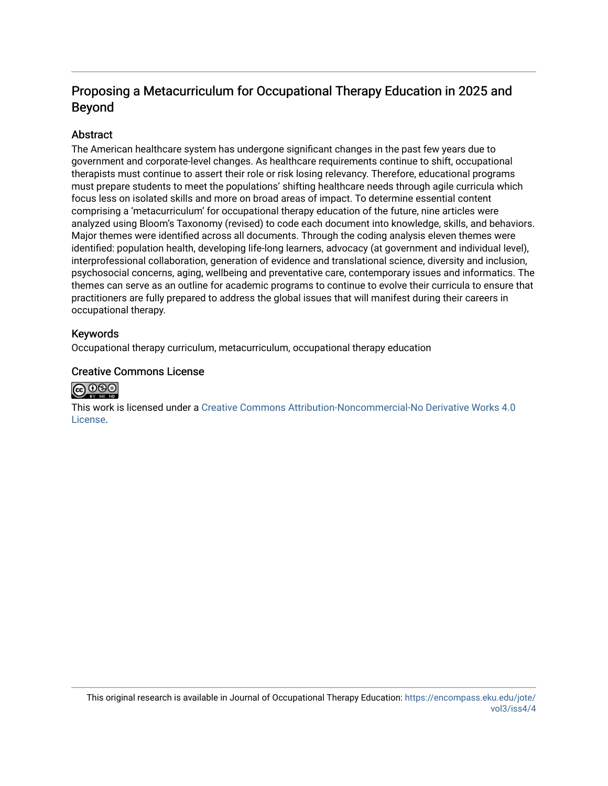## Proposing a Metacurriculum for Occupational Therapy Education in 2025 and Beyond

#### **Abstract**

The American healthcare system has undergone significant changes in the past few years due to government and corporate-level changes. As healthcare requirements continue to shift, occupational therapists must continue to assert their role or risk losing relevancy. Therefore, educational programs must prepare students to meet the populations' shifting healthcare needs through agile curricula which focus less on isolated skills and more on broad areas of impact. To determine essential content comprising a 'metacurriculum' for occupational therapy education of the future, nine articles were analyzed using Bloom's Taxonomy (revised) to code each document into knowledge, skills, and behaviors. Major themes were identified across all documents. Through the coding analysis eleven themes were identified: population health, developing life-long learners, advocacy (at government and individual level), interprofessional collaboration, generation of evidence and translational science, diversity and inclusion, psychosocial concerns, aging, wellbeing and preventative care, contemporary issues and informatics. The themes can serve as an outline for academic programs to continue to evolve their curricula to ensure that practitioners are fully prepared to address the global issues that will manifest during their careers in occupational therapy.

#### Keywords

Occupational therapy curriculum, metacurriculum, occupational therapy education

#### Creative Commons License



This work is licensed under a [Creative Commons Attribution-Noncommercial-No Derivative Works 4.0](http://creativecommons.org/licenses/by-nc-nd/4.0/) [License](http://creativecommons.org/licenses/by-nc-nd/4.0/).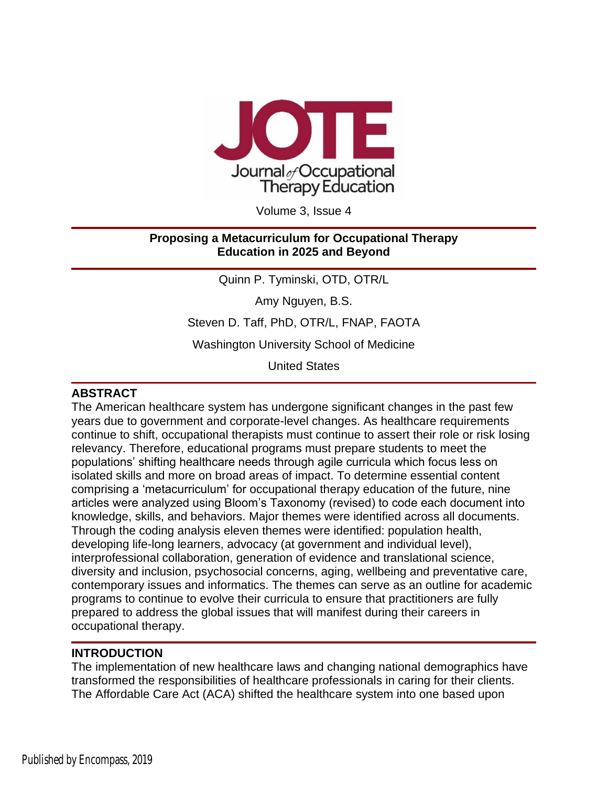

Volume 3, Issue 4

#### **Proposing a Metacurriculum for Occupational Therapy Education in 2025 and Beyond**

Quinn P. Tyminski, OTD, OTR/L

Amy Nguyen, B.S.

Steven D. Taff, PhD, OTR/L, FNAP, FAOTA

Washington University School of Medicine

United States

#### **ABSTRACT**

The American healthcare system has undergone significant changes in the past few years due to government and corporate-level changes. As healthcare requirements continue to shift, occupational therapists must continue to assert their role or risk losing relevancy. Therefore, educational programs must prepare students to meet the populations' shifting healthcare needs through agile curricula which focus less on isolated skills and more on broad areas of impact. To determine essential content comprising a 'metacurriculum' for occupational therapy education of the future, nine articles were analyzed using Bloom's Taxonomy (revised) to code each document into knowledge, skills, and behaviors. Major themes were identified across all documents. Through the coding analysis eleven themes were identified: population health, developing life-long learners, advocacy (at government and individual level), interprofessional collaboration, generation of evidence and translational science, diversity and inclusion, psychosocial concerns, aging, wellbeing and preventative care, contemporary issues and informatics. The themes can serve as an outline for academic programs to continue to evolve their curricula to ensure that practitioners are fully prepared to address the global issues that will manifest during their careers in occupational therapy.

## **INTRODUCTION**

The implementation of new healthcare laws and changing national demographics have transformed the responsibilities of healthcare professionals in caring for their clients. The Affordable Care Act (ACA) shifted the healthcare system into one based upon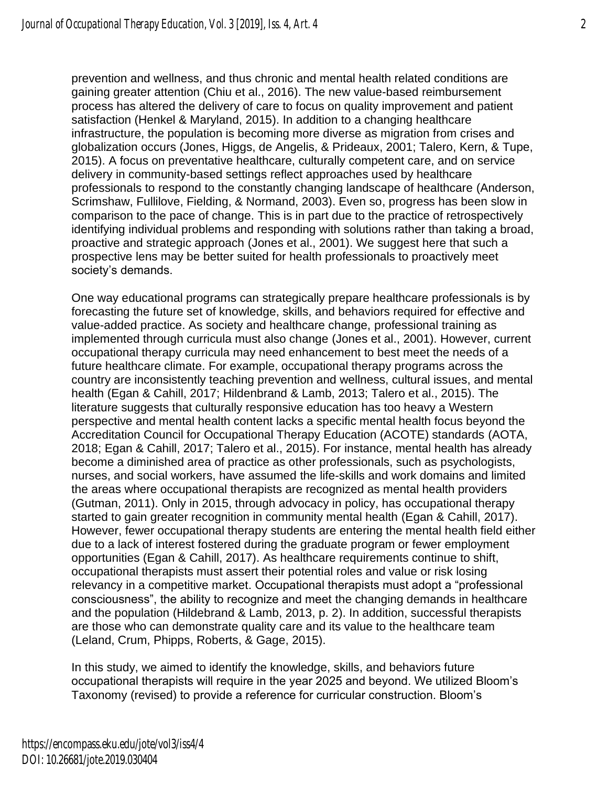prevention and wellness, and thus chronic and mental health related conditions are gaining greater attention (Chiu et al., 2016). The new value-based reimbursement process has altered the delivery of care to focus on quality improvement and patient satisfaction (Henkel & Maryland, 2015). In addition to a changing healthcare infrastructure, the population is becoming more diverse as migration from crises and globalization occurs (Jones, Higgs, de Angelis, & Prideaux, 2001; Talero, Kern, & Tupe, 2015). A focus on preventative healthcare, culturally competent care, and on service delivery in community-based settings reflect approaches used by healthcare professionals to respond to the constantly changing landscape of healthcare (Anderson, Scrimshaw, Fullilove, Fielding, & Normand, 2003). Even so, progress has been slow in comparison to the pace of change. This is in part due to the practice of retrospectively identifying individual problems and responding with solutions rather than taking a broad, proactive and strategic approach (Jones et al., 2001). We suggest here that such a prospective lens may be better suited for health professionals to proactively meet society's demands.

One way educational programs can strategically prepare healthcare professionals is by forecasting the future set of knowledge, skills, and behaviors required for effective and value-added practice. As society and healthcare change, professional training as implemented through curricula must also change (Jones et al., 2001). However, current occupational therapy curricula may need enhancement to best meet the needs of a future healthcare climate. For example, occupational therapy programs across the country are inconsistently teaching prevention and wellness, cultural issues, and mental health (Egan & Cahill, 2017; Hildenbrand & Lamb, 2013; Talero et al., 2015). The literature suggests that culturally responsive education has too heavy a Western perspective and mental health content lacks a specific mental health focus beyond the Accreditation Council for Occupational Therapy Education (ACOTE) standards (AOTA, 2018; Egan & Cahill, 2017; Talero et al., 2015). For instance, mental health has already become a diminished area of practice as other professionals, such as psychologists, nurses, and social workers, have assumed the life-skills and work domains and limited the areas where occupational therapists are recognized as mental health providers (Gutman, 2011). Only in 2015, through advocacy in policy, has occupational therapy started to gain greater recognition in community mental health (Egan & Cahill, 2017). However, fewer occupational therapy students are entering the mental health field either due to a lack of interest fostered during the graduate program or fewer employment opportunities (Egan & Cahill, 2017). As healthcare requirements continue to shift, occupational therapists must assert their potential roles and value or risk losing relevancy in a competitive market. Occupational therapists must adopt a "professional consciousness", the ability to recognize and meet the changing demands in healthcare and the population (Hildebrand & Lamb, 2013, p. 2). In addition, successful therapists are those who can demonstrate quality care and its value to the healthcare team (Leland, Crum, Phipps, Roberts, & Gage, 2015).

In this study, we aimed to identify the knowledge, skills, and behaviors future occupational therapists will require in the year 2025 and beyond. We utilized Bloom's Taxonomy (revised) to provide a reference for curricular construction. Bloom's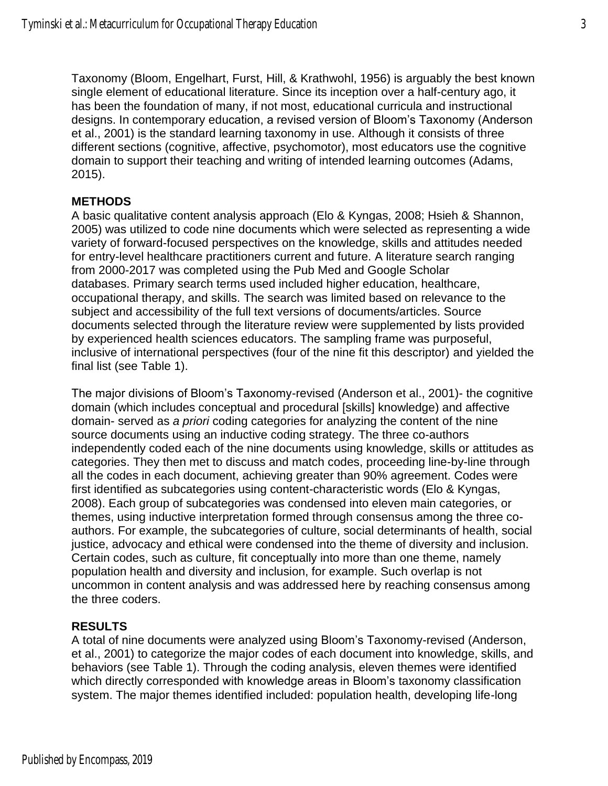Taxonomy (Bloom, Engelhart, Furst, Hill, & Krathwohl, 1956) is arguably the best known single element of educational literature. Since its inception over a half-century ago, it has been the foundation of many, if not most, educational curricula and instructional designs. In contemporary education, a revised version of Bloom's Taxonomy (Anderson et al., 2001) is the standard learning taxonomy in use. Although it consists of three different sections (cognitive, affective, psychomotor), most educators use the cognitive domain to support their teaching and writing of intended learning outcomes (Adams, 2015).

#### **METHODS**

A basic qualitative content analysis approach (Elo & Kyngas, 2008; Hsieh & Shannon, 2005) was utilized to code nine documents which were selected as representing a wide variety of forward-focused perspectives on the knowledge, skills and attitudes needed for entry-level healthcare practitioners current and future. A literature search ranging from 2000-2017 was completed using the Pub Med and Google Scholar databases. Primary search terms used included higher education, healthcare, occupational therapy, and skills. The search was limited based on relevance to the subject and accessibility of the full text versions of documents/articles. Source documents selected through the literature review were supplemented by lists provided by experienced health sciences educators. The sampling frame was purposeful, inclusive of international perspectives (four of the nine fit this descriptor) and yielded the final list (see Table 1).

The major divisions of Bloom's Taxonomy-revised (Anderson et al., 2001)- the cognitive domain (which includes conceptual and procedural [skills] knowledge) and affective domain- served as *a priori* coding categories for analyzing the content of the nine source documents using an inductive coding strategy. The three co-authors independently coded each of the nine documents using knowledge, skills or attitudes as categories. They then met to discuss and match codes, proceeding line-by-line through all the codes in each document, achieving greater than 90% agreement. Codes were first identified as subcategories using content-characteristic words (Elo & Kyngas, 2008). Each group of subcategories was condensed into eleven main categories, or themes, using inductive interpretation formed through consensus among the three coauthors. For example, the subcategories of culture, social determinants of health, social justice, advocacy and ethical were condensed into the theme of diversity and inclusion. Certain codes, such as culture, fit conceptually into more than one theme, namely population health and diversity and inclusion, for example. Such overlap is not uncommon in content analysis and was addressed here by reaching consensus among the three coders.

#### **RESULTS**

A total of nine documents were analyzed using Bloom's Taxonomy-revised (Anderson, et al., 2001) to categorize the major codes of each document into knowledge, skills, and behaviors (see Table 1). Through the coding analysis, eleven themes were identified which directly corresponded with knowledge areas in Bloom's taxonomy classification system. The major themes identified included: population health, developing life-long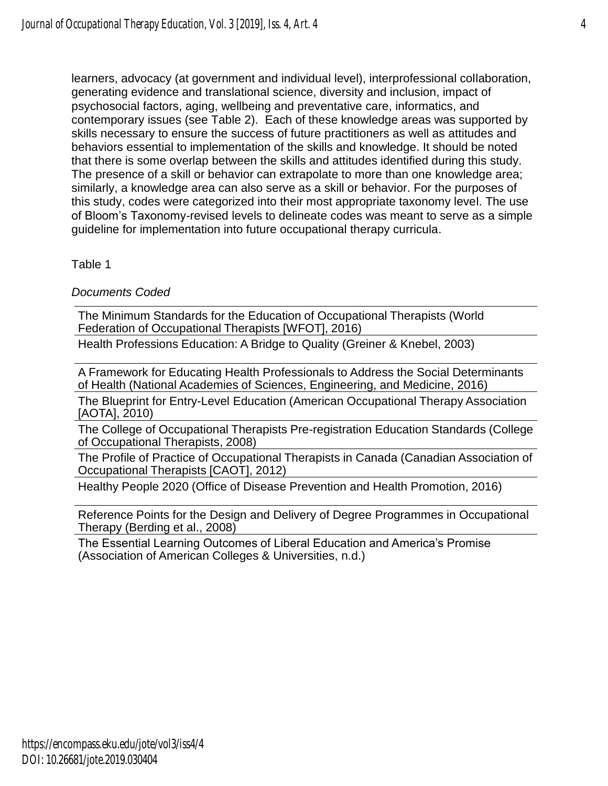learners, advocacy (at government and individual level), interprofessional collaboration, generating evidence and translational science, diversity and inclusion, impact of psychosocial factors, aging, wellbeing and preventative care, informatics, and contemporary issues (see Table 2). Each of these knowledge areas was supported by skills necessary to ensure the success of future practitioners as well as attitudes and behaviors essential to implementation of the skills and knowledge. It should be noted that there is some overlap between the skills and attitudes identified during this study. The presence of a skill or behavior can extrapolate to more than one knowledge area; similarly, a knowledge area can also serve as a skill or behavior. For the purposes of this study, codes were categorized into their most appropriate taxonomy level. The use of Bloom's Taxonomy-revised levels to delineate codes was meant to serve as a simple guideline for implementation into future occupational therapy curricula.

Table 1

*Documents Coded*

The Minimum Standards for the Education of Occupational Therapists (World Federation of Occupational Therapists [WFOT], 2016)

Health Professions Education: A Bridge to Quality (Greiner & Knebel, 2003)

A Framework for Educating Health Professionals to Address the Social Determinants of Health (National Academies of Sciences, Engineering, and Medicine, 2016)

The Blueprint for Entry-Level Education (American Occupational Therapy Association [AOTA], 2010)

The College of Occupational Therapists Pre-registration Education Standards (College of Occupational Therapists, 2008)

The Profile of Practice of Occupational Therapists in Canada (Canadian Association of Occupational Therapists [CAOT], 2012)

Healthy People 2020 (Office of Disease Prevention and Health Promotion, 2016)

Reference Points for the Design and Delivery of Degree Programmes in Occupational Therapy (Berding et al., 2008)

The Essential Learning Outcomes of Liberal Education and America's Promise (Association of American Colleges & Universities, n.d.)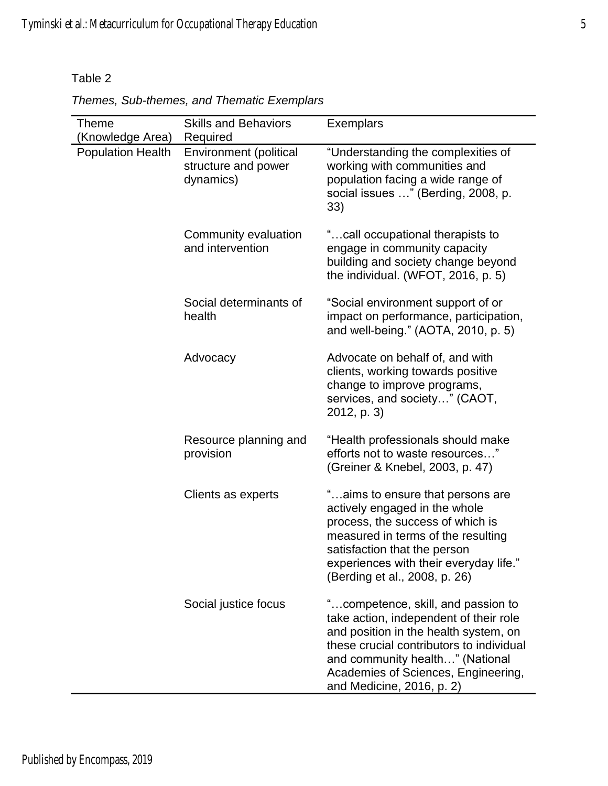Table 2

| <b>Theme</b><br>(Knowledge Area) | <b>Skills and Behaviors</b><br>Required                    | <b>Exemplars</b>                                                                                                                                                                                                                                                         |
|----------------------------------|------------------------------------------------------------|--------------------------------------------------------------------------------------------------------------------------------------------------------------------------------------------------------------------------------------------------------------------------|
| <b>Population Health</b>         | Environment (political<br>structure and power<br>dynamics) | "Understanding the complexities of<br>working with communities and<br>population facing a wide range of<br>social issues " (Berding, 2008, p.<br>33)                                                                                                                     |
|                                  | Community evaluation<br>and intervention                   | "call occupational therapists to<br>engage in community capacity<br>building and society change beyond<br>the individual. (WFOT, 2016, p. 5)                                                                                                                             |
|                                  | Social determinants of<br>health                           | "Social environment support of or<br>impact on performance, participation,<br>and well-being." (AOTA, 2010, p. 5)                                                                                                                                                        |
|                                  | Advocacy                                                   | Advocate on behalf of, and with<br>clients, working towards positive<br>change to improve programs,<br>services, and society" (CAOT,<br>2012, p. 3)                                                                                                                      |
|                                  | Resource planning and<br>provision                         | "Health professionals should make<br>efforts not to waste resources"<br>(Greiner & Knebel, 2003, p. 47)                                                                                                                                                                  |
|                                  | Clients as experts                                         | "aims to ensure that persons are<br>actively engaged in the whole<br>process, the success of which is<br>measured in terms of the resulting<br>satisfaction that the person<br>experiences with their everyday life."<br>(Berding et al., 2008, p. 26)                   |
|                                  | Social justice focus                                       | "competence, skill, and passion to<br>take action, independent of their role<br>and position in the health system, on<br>these crucial contributors to individual<br>and community health" (National<br>Academies of Sciences, Engineering,<br>and Medicine, 2016, p. 2) |

*Themes, Sub-themes, and Thematic Exemplars*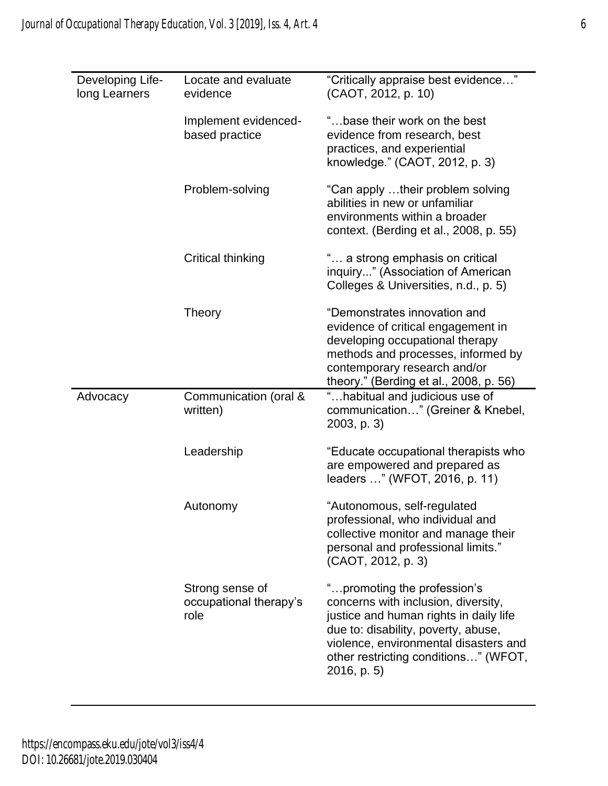| Developing Life-<br>long Learners | Locate and evaluate<br>evidence                   | "Critically appraise best evidence"<br>(CAOT, 2012, p. 10)                                                                                                                                                                                           |
|-----------------------------------|---------------------------------------------------|------------------------------------------------------------------------------------------------------------------------------------------------------------------------------------------------------------------------------------------------------|
|                                   | Implement evidenced-<br>based practice            | "base their work on the best<br>evidence from research, best<br>practices, and experiential<br>knowledge." (CAOT, 2012, p. 3)                                                                                                                        |
|                                   | Problem-solving                                   | "Can apply their problem solving<br>abilities in new or unfamiliar<br>environments within a broader<br>context. (Berding et al., 2008, p. 55)                                                                                                        |
|                                   | Critical thinking                                 | " a strong emphasis on critical<br>inquiry" (Association of American<br>Colleges & Universities, n.d., p. 5)                                                                                                                                         |
|                                   | Theory                                            | "Demonstrates innovation and<br>evidence of critical engagement in<br>developing occupational therapy<br>methods and processes, informed by<br>contemporary research and/or<br>theory." (Berding et al., 2008, p. 56)                                |
| Advocacy                          | Communication (oral &<br>written)                 | "habitual and judicious use of<br>communication" (Greiner & Knebel,<br>$2003$ , p. 3)                                                                                                                                                                |
|                                   | Leadership                                        | "Educate occupational therapists who<br>are empowered and prepared as<br>leaders " (WFOT, 2016, p. 11)                                                                                                                                               |
|                                   | Autonomy                                          | "Autonomous, self-regulated<br>professional, who individual and<br>collective monitor and manage their<br>personal and professional limits."<br>(CAOT, 2012, p. 3)                                                                                   |
|                                   | Strong sense of<br>occupational therapy's<br>role | " promoting the profession's<br>concerns with inclusion, diversity,<br>justice and human rights in daily life<br>due to: disability, poverty, abuse,<br>violence, environmental disasters and<br>other restricting conditions" (WFOT,<br>2016, p. 5) |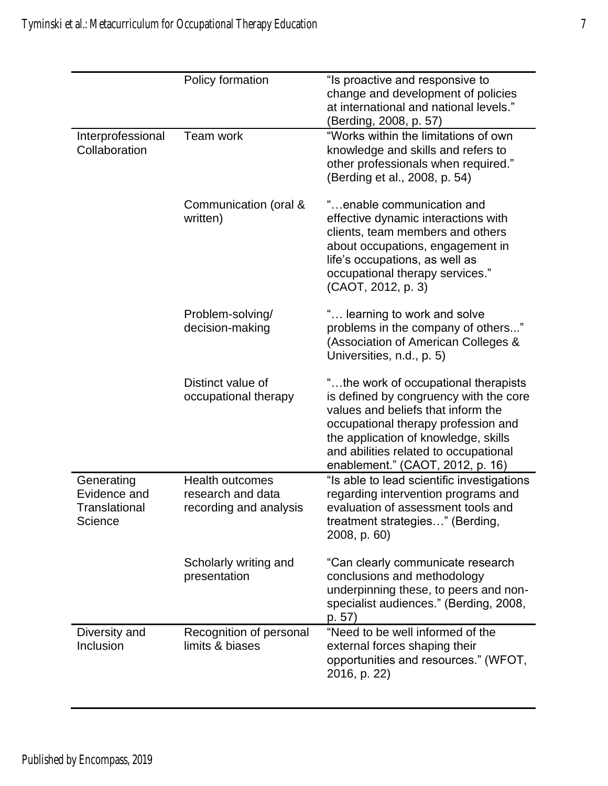|                                                               | Policy formation                                                      | "Is proactive and responsive to<br>change and development of policies<br>at international and national levels."<br>(Berding, 2008, p. 57)                                                                                                                                        |
|---------------------------------------------------------------|-----------------------------------------------------------------------|----------------------------------------------------------------------------------------------------------------------------------------------------------------------------------------------------------------------------------------------------------------------------------|
| Interprofessional<br>Collaboration                            | Team work                                                             | "Works within the limitations of own<br>knowledge and skills and refers to<br>other professionals when required."<br>(Berding et al., 2008, p. 54)                                                                                                                               |
|                                                               | Communication (oral &<br>written)                                     | "enable communication and<br>effective dynamic interactions with<br>clients, team members and others<br>about occupations, engagement in<br>life's occupations, as well as<br>occupational therapy services."<br>(CAOT, 2012, p. 3)                                              |
|                                                               | Problem-solving/<br>decision-making                                   | " learning to work and solve<br>problems in the company of others"<br>(Association of American Colleges &<br>Universities, n.d., p. 5)                                                                                                                                           |
|                                                               | Distinct value of<br>occupational therapy                             | "the work of occupational therapists<br>is defined by congruency with the core<br>values and beliefs that inform the<br>occupational therapy profession and<br>the application of knowledge, skills<br>and abilities related to occupational<br>enablement." (CAOT, 2012, p. 16) |
| Generating<br>Evidence and<br><b>Translational</b><br>Science | <b>Health outcomes</b><br>research and data<br>recording and analysis | "Is able to lead scientific investigations<br>regarding intervention programs and<br>evaluation of assessment tools and<br>treatment strategies" (Berding,<br>2008, p. 60)                                                                                                       |
|                                                               | Scholarly writing and<br>presentation                                 | "Can clearly communicate research<br>conclusions and methodology<br>underpinning these, to peers and non-<br>specialist audiences." (Berding, 2008,<br>p. 57)                                                                                                                    |
| Diversity and<br>Inclusion                                    | Recognition of personal<br>limits & biases                            | "Need to be well informed of the<br>external forces shaping their<br>opportunities and resources." (WFOT,<br>2016, p. 22)                                                                                                                                                        |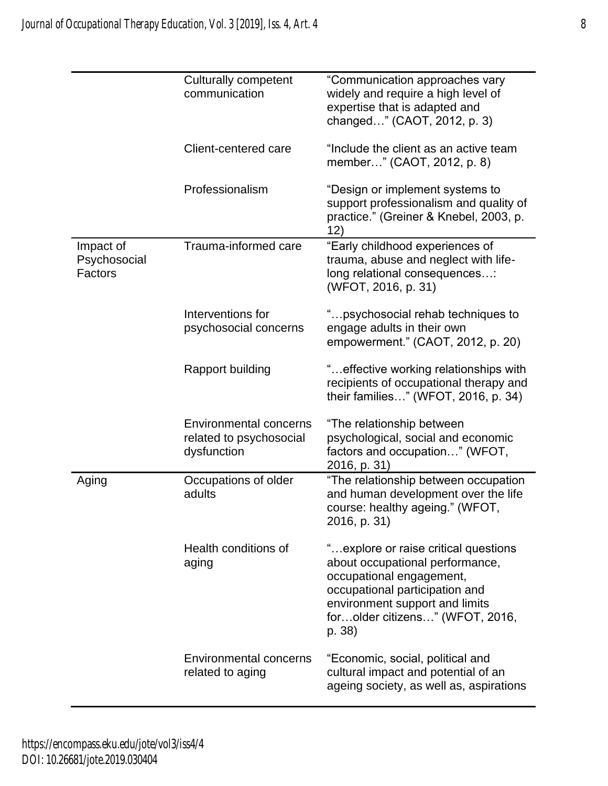|                                      | <b>Culturally competent</b><br>communication                            | "Communication approaches vary<br>widely and require a high level of<br>expertise that is adapted and<br>changed" (CAOT, 2012, p. 3)                                                                                 |
|--------------------------------------|-------------------------------------------------------------------------|----------------------------------------------------------------------------------------------------------------------------------------------------------------------------------------------------------------------|
|                                      | Client-centered care                                                    | "Include the client as an active team<br>member" (CAOT, 2012, p. 8)                                                                                                                                                  |
|                                      | Professionalism                                                         | "Design or implement systems to<br>support professionalism and quality of<br>practice." (Greiner & Knebel, 2003, p.<br>12)                                                                                           |
| Impact of<br>Psychosocial<br>Factors | Trauma-informed care                                                    | "Early childhood experiences of<br>trauma, abuse and neglect with life-<br>long relational consequences:<br>(WFOT, 2016, p. 31)                                                                                      |
|                                      | Interventions for<br>psychosocial concerns                              | "psychosocial rehab techniques to<br>engage adults in their own<br>empowerment." (CAOT, 2012, p. 20)                                                                                                                 |
|                                      | Rapport building                                                        | " effective working relationships with<br>recipients of occupational therapy and<br>their families" (WFOT, 2016, p. 34)                                                                                              |
|                                      | <b>Environmental concerns</b><br>related to psychosocial<br>dysfunction | "The relationship between<br>psychological, social and economic<br>factors and occupation" (WFOT,<br>2016, p. 31)                                                                                                    |
| Aging                                | Occupations of older<br>adults                                          | "The relationship between occupation<br>and human development over the life<br>course: healthy ageing." (WFOT,<br>2016, p. 31)                                                                                       |
|                                      | Health conditions of<br>aging                                           | "explore or raise critical questions<br>about occupational performance,<br>occupational engagement,<br>occupational participation and<br>environment support and limits<br>forolder citizens" (WFOT, 2016,<br>p. 38) |
|                                      | <b>Environmental concerns</b><br>related to aging                       | "Economic, social, political and<br>cultural impact and potential of an<br>ageing society, as well as, aspirations                                                                                                   |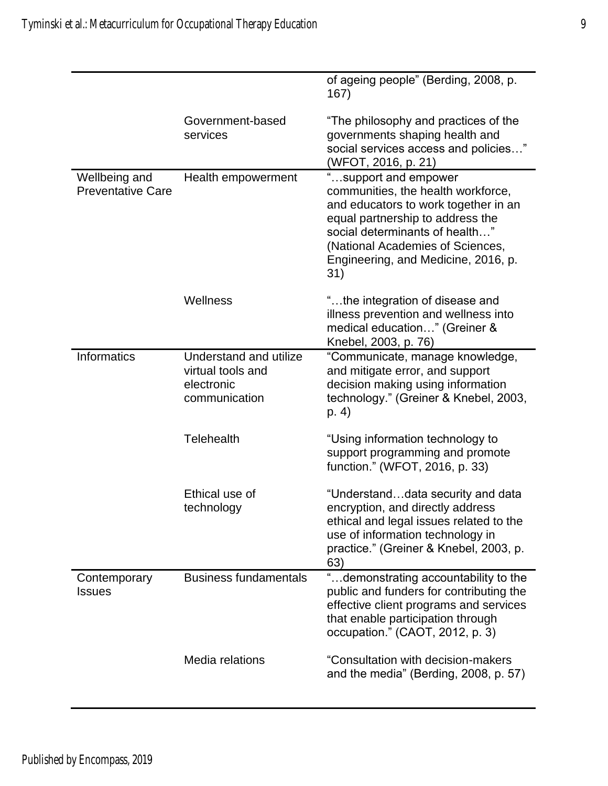|                                           |                                                                                   | of ageing people" (Berding, 2008, p.<br>167)                                                                                                                                                                                                               |
|-------------------------------------------|-----------------------------------------------------------------------------------|------------------------------------------------------------------------------------------------------------------------------------------------------------------------------------------------------------------------------------------------------------|
|                                           | Government-based<br>services                                                      | "The philosophy and practices of the<br>governments shaping health and<br>social services access and policies"<br>(WFOT, 2016, p. 21)                                                                                                                      |
| Wellbeing and<br><b>Preventative Care</b> | Health empowerment                                                                | "support and empower<br>communities, the health workforce,<br>and educators to work together in an<br>equal partnership to address the<br>social determinants of health"<br>(National Academies of Sciences,<br>Engineering, and Medicine, 2016, p.<br>31) |
|                                           | Wellness                                                                          | "the integration of disease and<br>illness prevention and wellness into<br>medical education" (Greiner &<br>Knebel, 2003, p. 76)                                                                                                                           |
| <b>Informatics</b>                        | <b>Understand and utilize</b><br>virtual tools and<br>electronic<br>communication | "Communicate, manage knowledge,<br>and mitigate error, and support<br>decision making using information<br>technology." (Greiner & Knebel, 2003,<br>p. 4)                                                                                                  |
|                                           | <b>Telehealth</b>                                                                 | "Using information technology to<br>support programming and promote<br>function." (WFOT, 2016, p. 33)                                                                                                                                                      |
|                                           | Ethical use of<br>technology                                                      | "Understanddata security and data<br>encryption, and directly address<br>ethical and legal issues related to the<br>use of information technology in<br>practice." (Greiner & Knebel, 2003, p.<br>63)                                                      |
| Contemporary<br><b>Issues</b>             | <b>Business fundamentals</b>                                                      | "demonstrating accountability to the<br>public and funders for contributing the<br>effective client programs and services<br>that enable participation through<br>occupation." (CAOT, 2012, p. 3)                                                          |
|                                           | Media relations                                                                   | "Consultation with decision-makers<br>and the media" (Berding, 2008, p. 57)                                                                                                                                                                                |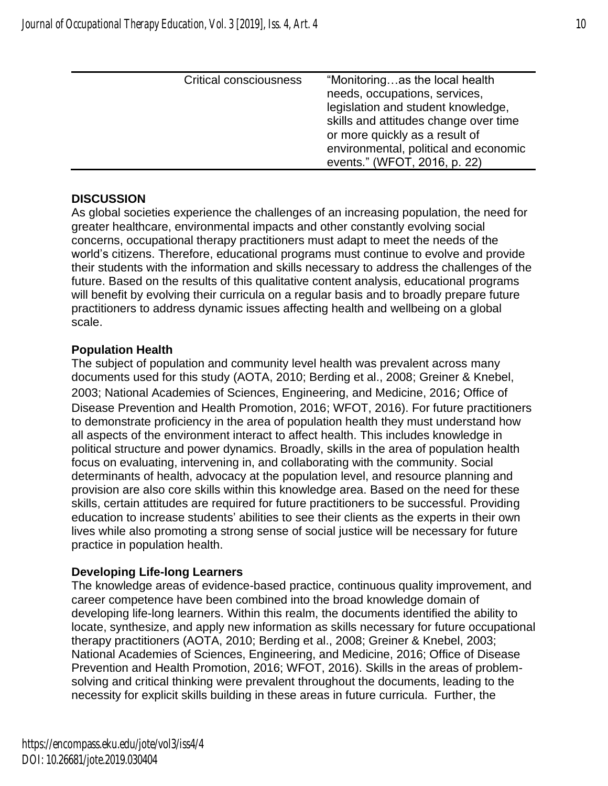| <b>Critical consciousness</b> | "Monitoringas the local health<br>needs, occupations, services,<br>legislation and student knowledge,<br>skills and attitudes change over time<br>or more quickly as a result of<br>environmental, political and economic |
|-------------------------------|---------------------------------------------------------------------------------------------------------------------------------------------------------------------------------------------------------------------------|
|                               |                                                                                                                                                                                                                           |
|                               | events." (WFOT, 2016, p. 22)                                                                                                                                                                                              |

## **DISCUSSION**

As global societies experience the challenges of an increasing population, the need for greater healthcare, environmental impacts and other constantly evolving social concerns, occupational therapy practitioners must adapt to meet the needs of the world's citizens. Therefore, educational programs must continue to evolve and provide their students with the information and skills necessary to address the challenges of the future. Based on the results of this qualitative content analysis, educational programs will benefit by evolving their curricula on a regular basis and to broadly prepare future practitioners to address dynamic issues affecting health and wellbeing on a global scale.

## **Population Health**

The subject of population and community level health was prevalent across many documents used for this study (AOTA, 2010; Berding et al., 2008; Greiner & Knebel, 2003; National Academies of Sciences, Engineering, and Medicine, 2016; Office of Disease Prevention and Health Promotion, 2016; WFOT, 2016). For future practitioners to demonstrate proficiency in the area of population health they must understand how all aspects of the environment interact to affect health. This includes knowledge in political structure and power dynamics. Broadly, skills in the area of population health focus on evaluating, intervening in, and collaborating with the community. Social determinants of health, advocacy at the population level, and resource planning and provision are also core skills within this knowledge area. Based on the need for these skills, certain attitudes are required for future practitioners to be successful. Providing education to increase students' abilities to see their clients as the experts in their own lives while also promoting a strong sense of social justice will be necessary for future practice in population health.

## **Developing Life-long Learners**

The knowledge areas of evidence-based practice, continuous quality improvement, and career competence have been combined into the broad knowledge domain of developing life-long learners. Within this realm, the documents identified the ability to locate, synthesize, and apply new information as skills necessary for future occupational therapy practitioners (AOTA, 2010; Berding et al., 2008; Greiner & Knebel, 2003; National Academies of Sciences, Engineering, and Medicine, 2016; Office of Disease Prevention and Health Promotion, 2016; WFOT, 2016). Skills in the areas of problemsolving and critical thinking were prevalent throughout the documents, leading to the necessity for explicit skills building in these areas in future curricula. Further, the

https://encompass.eku.edu/jote/vol3/iss4/4 DOI: 10.26681/jote.2019.030404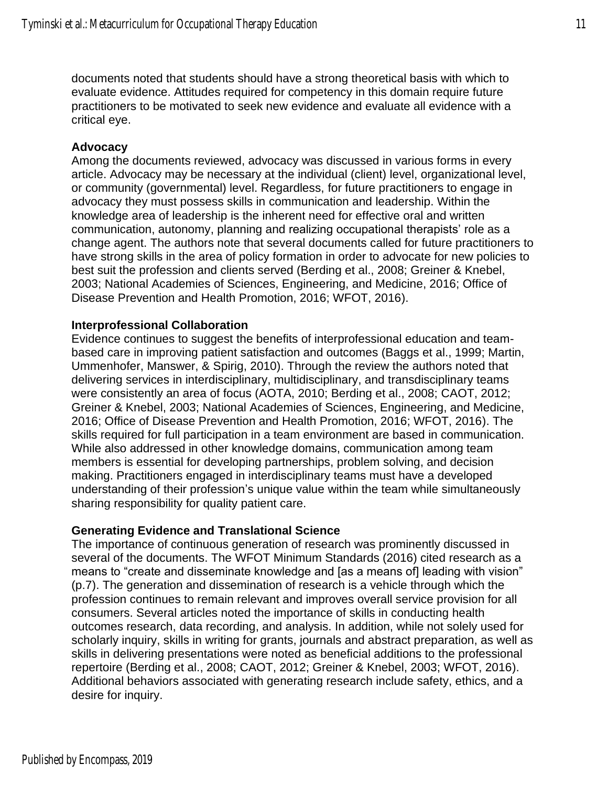documents noted that students should have a strong theoretical basis with which to evaluate evidence. Attitudes required for competency in this domain require future practitioners to be motivated to seek new evidence and evaluate all evidence with a critical eye.

#### **Advocacy**

Among the documents reviewed, advocacy was discussed in various forms in every article. Advocacy may be necessary at the individual (client) level, organizational level, or community (governmental) level. Regardless, for future practitioners to engage in advocacy they must possess skills in communication and leadership. Within the knowledge area of leadership is the inherent need for effective oral and written communication, autonomy, planning and realizing occupational therapists' role as a change agent. The authors note that several documents called for future practitioners to have strong skills in the area of policy formation in order to advocate for new policies to best suit the profession and clients served (Berding et al., 2008; Greiner & Knebel, 2003; National Academies of Sciences, Engineering, and Medicine, 2016; Office of Disease Prevention and Health Promotion, 2016; WFOT, 2016).

#### **Interprofessional Collaboration**

Evidence continues to suggest the benefits of interprofessional education and teambased care in improving patient satisfaction and outcomes (Baggs et al., 1999; Martin, Ummenhofer, Manswer, & Spirig, 2010). Through the review the authors noted that delivering services in interdisciplinary, multidisciplinary, and transdisciplinary teams were consistently an area of focus (AOTA, 2010; Berding et al., 2008; CAOT, 2012; Greiner & Knebel, 2003; National Academies of Sciences, Engineering, and Medicine, 2016; Office of Disease Prevention and Health Promotion, 2016; WFOT, 2016). The skills required for full participation in a team environment are based in communication. While also addressed in other knowledge domains, communication among team members is essential for developing partnerships, problem solving, and decision making. Practitioners engaged in interdisciplinary teams must have a developed understanding of their profession's unique value within the team while simultaneously sharing responsibility for quality patient care.

#### **Generating Evidence and Translational Science**

The importance of continuous generation of research was prominently discussed in several of the documents. The WFOT Minimum Standards (2016) cited research as a means to "create and disseminate knowledge and [as a means of] leading with vision" (p.7). The generation and dissemination of research is a vehicle through which the profession continues to remain relevant and improves overall service provision for all consumers. Several articles noted the importance of skills in conducting health outcomes research, data recording, and analysis. In addition, while not solely used for scholarly inquiry, skills in writing for grants, journals and abstract preparation, as well as skills in delivering presentations were noted as beneficial additions to the professional repertoire (Berding et al., 2008; CAOT, 2012; Greiner & Knebel, 2003; WFOT, 2016). Additional behaviors associated with generating research include safety, ethics, and a desire for inquiry.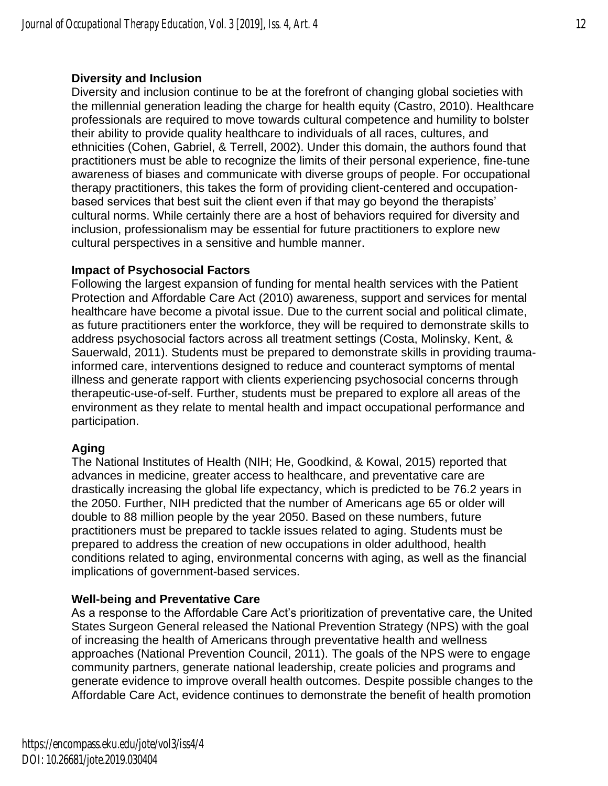#### **Diversity and Inclusion**

Diversity and inclusion continue to be at the forefront of changing global societies with the millennial generation leading the charge for health equity (Castro, 2010). Healthcare professionals are required to move towards cultural competence and humility to bolster their ability to provide quality healthcare to individuals of all races, cultures, and ethnicities (Cohen, Gabriel, & Terrell, 2002). Under this domain, the authors found that practitioners must be able to recognize the limits of their personal experience, fine-tune awareness of biases and communicate with diverse groups of people. For occupational therapy practitioners, this takes the form of providing client-centered and occupationbased services that best suit the client even if that may go beyond the therapists' cultural norms. While certainly there are a host of behaviors required for diversity and inclusion, professionalism may be essential for future practitioners to explore new cultural perspectives in a sensitive and humble manner.

#### **Impact of Psychosocial Factors**

Following the largest expansion of funding for mental health services with the Patient Protection and Affordable Care Act (2010) awareness, support and services for mental healthcare have become a pivotal issue. Due to the current social and political climate, as future practitioners enter the workforce, they will be required to demonstrate skills to address psychosocial factors across all treatment settings (Costa, Molinsky, Kent, & Sauerwald, 2011). Students must be prepared to demonstrate skills in providing traumainformed care, interventions designed to reduce and counteract symptoms of mental illness and generate rapport with clients experiencing psychosocial concerns through therapeutic-use-of-self. Further, students must be prepared to explore all areas of the environment as they relate to mental health and impact occupational performance and participation.

## **Aging**

The National Institutes of Health (NIH; He, Goodkind, & Kowal, 2015) reported that advances in medicine, greater access to healthcare, and preventative care are drastically increasing the global life expectancy, which is predicted to be 76.2 years in the 2050. Further, NIH predicted that the number of Americans age 65 or older will double to 88 million people by the year 2050. Based on these numbers, future practitioners must be prepared to tackle issues related to aging. Students must be prepared to address the creation of new occupations in older adulthood, health conditions related to aging, environmental concerns with aging, as well as the financial implications of government-based services.

## **Well-being and Preventative Care**

As a response to the Affordable Care Act's prioritization of preventative care, the United States Surgeon General released the National Prevention Strategy (NPS) with the goal of increasing the health of Americans through preventative health and wellness approaches (National Prevention Council, 2011). The goals of the NPS were to engage community partners, generate national leadership, create policies and programs and generate evidence to improve overall health outcomes. Despite possible changes to the Affordable Care Act, evidence continues to demonstrate the benefit of health promotion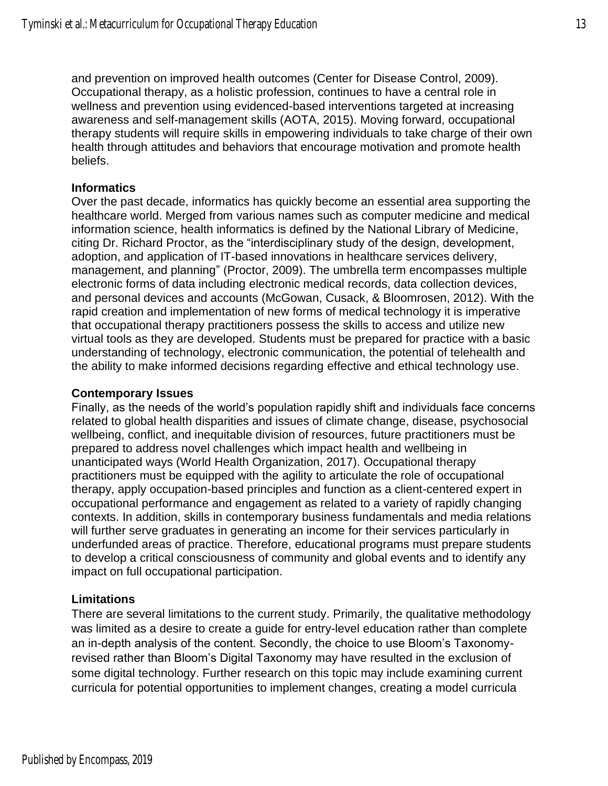and prevention on improved health outcomes (Center for Disease Control, 2009). Occupational therapy, as a holistic profession, continues to have a central role in wellness and prevention using evidenced-based interventions targeted at increasing awareness and self-management skills (AOTA, 2015). Moving forward, occupational therapy students will require skills in empowering individuals to take charge of their own health through attitudes and behaviors that encourage motivation and promote health beliefs.

#### **Informatics**

Over the past decade, informatics has quickly become an essential area supporting the healthcare world. Merged from various names such as computer medicine and medical information science, health informatics is defined by the National Library of Medicine, citing Dr. Richard Proctor, as the "interdisciplinary study of the design, development, adoption, and application of IT-based innovations in healthcare services delivery, management, and planning" (Proctor, 2009). The umbrella term encompasses multiple electronic forms of data including electronic medical records, data collection devices, and personal devices and accounts (McGowan, Cusack, & Bloomrosen, 2012). With the rapid creation and implementation of new forms of medical technology it is imperative that occupational therapy practitioners possess the skills to access and utilize new virtual tools as they are developed. Students must be prepared for practice with a basic understanding of technology, electronic communication, the potential of telehealth and the ability to make informed decisions regarding effective and ethical technology use.

#### **Contemporary Issues**

Finally, as the needs of the world's population rapidly shift and individuals face concerns related to global health disparities and issues of climate change, disease, psychosocial wellbeing, conflict, and inequitable division of resources, future practitioners must be prepared to address novel challenges which impact health and wellbeing in unanticipated ways (World Health Organization, 2017). Occupational therapy practitioners must be equipped with the agility to articulate the role of occupational therapy, apply occupation-based principles and function as a client-centered expert in occupational performance and engagement as related to a variety of rapidly changing contexts. In addition, skills in contemporary business fundamentals and media relations will further serve graduates in generating an income for their services particularly in underfunded areas of practice. Therefore, educational programs must prepare students to develop a critical consciousness of community and global events and to identify any impact on full occupational participation.

#### **Limitations**

There are several limitations to the current study. Primarily, the qualitative methodology was limited as a desire to create a guide for entry-level education rather than complete an in-depth analysis of the content. Secondly, the choice to use Bloom's Taxonomyrevised rather than Bloom's Digital Taxonomy may have resulted in the exclusion of some digital technology. Further research on this topic may include examining current curricula for potential opportunities to implement changes, creating a model curricula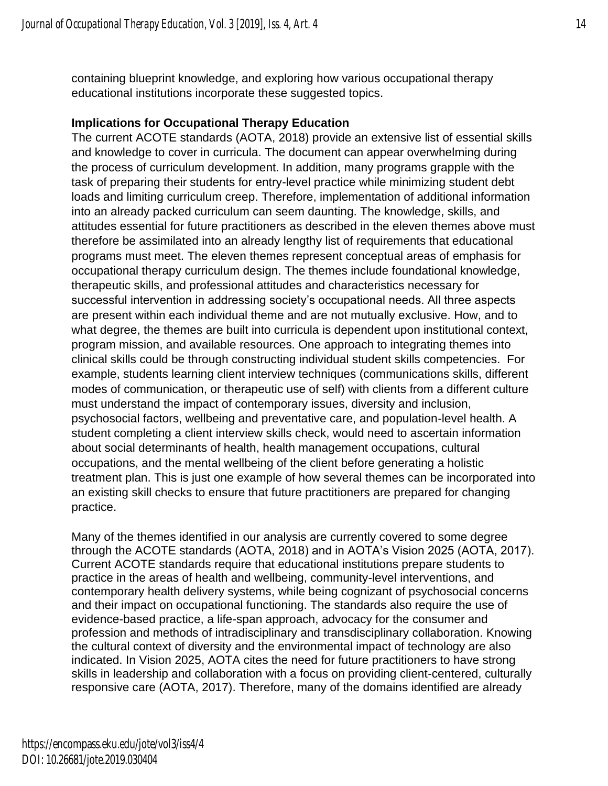containing blueprint knowledge, and exploring how various occupational therapy educational institutions incorporate these suggested topics.

#### **Implications for Occupational Therapy Education**

The current ACOTE standards (AOTA, 2018) provide an extensive list of essential skills and knowledge to cover in curricula. The document can appear overwhelming during the process of curriculum development. In addition, many programs grapple with the task of preparing their students for entry-level practice while minimizing student debt loads and limiting curriculum creep. Therefore, implementation of additional information into an already packed curriculum can seem daunting. The knowledge, skills, and attitudes essential for future practitioners as described in the eleven themes above must therefore be assimilated into an already lengthy list of requirements that educational programs must meet. The eleven themes represent conceptual areas of emphasis for occupational therapy curriculum design. The themes include foundational knowledge, therapeutic skills, and professional attitudes and characteristics necessary for successful intervention in addressing society's occupational needs. All three aspects are present within each individual theme and are not mutually exclusive. How, and to what degree, the themes are built into curricula is dependent upon institutional context, program mission, and available resources. One approach to integrating themes into clinical skills could be through constructing individual student skills competencies. For example, students learning client interview techniques (communications skills, different modes of communication, or therapeutic use of self) with clients from a different culture must understand the impact of contemporary issues, diversity and inclusion, psychosocial factors, wellbeing and preventative care, and population-level health. A student completing a client interview skills check, would need to ascertain information about social determinants of health, health management occupations, cultural occupations, and the mental wellbeing of the client before generating a holistic treatment plan. This is just one example of how several themes can be incorporated into an existing skill checks to ensure that future practitioners are prepared for changing practice.

Many of the themes identified in our analysis are currently covered to some degree through the ACOTE standards (AOTA, 2018) and in AOTA's Vision 2025 (AOTA, 2017). Current ACOTE standards require that educational institutions prepare students to practice in the areas of health and wellbeing, community-level interventions, and contemporary health delivery systems, while being cognizant of psychosocial concerns and their impact on occupational functioning. The standards also require the use of evidence-based practice, a life-span approach, advocacy for the consumer and profession and methods of intradisciplinary and transdisciplinary collaboration. Knowing the cultural context of diversity and the environmental impact of technology are also indicated. In Vision 2025, AOTA cites the need for future practitioners to have strong skills in leadership and collaboration with a focus on providing client-centered, culturally responsive care (AOTA, 2017). Therefore, many of the domains identified are already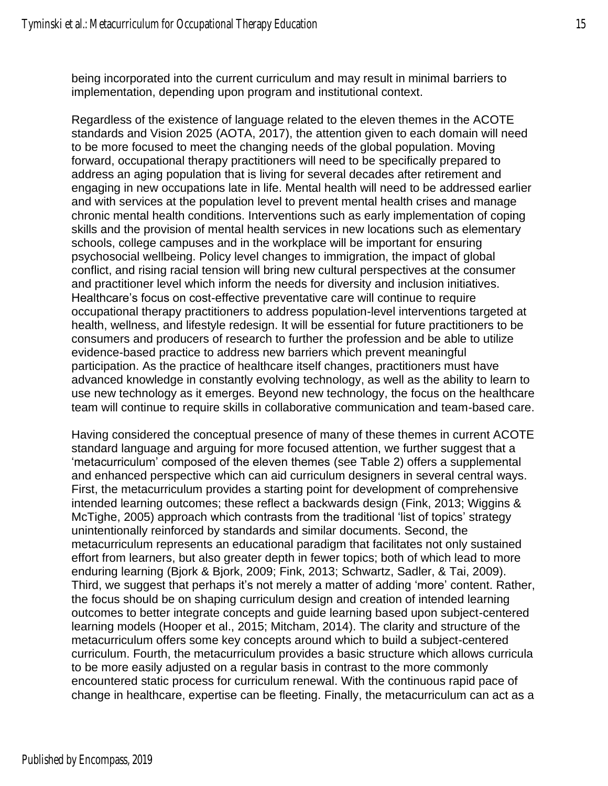being incorporated into the current curriculum and may result in minimal barriers to implementation, depending upon program and institutional context.

Regardless of the existence of language related to the eleven themes in the ACOTE standards and Vision 2025 (AOTA, 2017), the attention given to each domain will need to be more focused to meet the changing needs of the global population. Moving forward, occupational therapy practitioners will need to be specifically prepared to address an aging population that is living for several decades after retirement and engaging in new occupations late in life. Mental health will need to be addressed earlier and with services at the population level to prevent mental health crises and manage chronic mental health conditions. Interventions such as early implementation of coping skills and the provision of mental health services in new locations such as elementary schools, college campuses and in the workplace will be important for ensuring psychosocial wellbeing. Policy level changes to immigration, the impact of global conflict, and rising racial tension will bring new cultural perspectives at the consumer and practitioner level which inform the needs for diversity and inclusion initiatives. Healthcare's focus on cost-effective preventative care will continue to require occupational therapy practitioners to address population-level interventions targeted at health, wellness, and lifestyle redesign. It will be essential for future practitioners to be consumers and producers of research to further the profession and be able to utilize evidence-based practice to address new barriers which prevent meaningful participation. As the practice of healthcare itself changes, practitioners must have advanced knowledge in constantly evolving technology, as well as the ability to learn to use new technology as it emerges. Beyond new technology, the focus on the healthcare team will continue to require skills in collaborative communication and team-based care.

Having considered the conceptual presence of many of these themes in current ACOTE standard language and arguing for more focused attention, we further suggest that a 'metacurriculum' composed of the eleven themes (see Table 2) offers a supplemental and enhanced perspective which can aid curriculum designers in several central ways. First, the metacurriculum provides a starting point for development of comprehensive intended learning outcomes; these reflect a backwards design (Fink, 2013; Wiggins & McTighe, 2005) approach which contrasts from the traditional 'list of topics' strategy unintentionally reinforced by standards and similar documents. Second, the metacurriculum represents an educational paradigm that facilitates not only sustained effort from learners, but also greater depth in fewer topics; both of which lead to more enduring learning (Bjork & Bjork, 2009; Fink, 2013; Schwartz, Sadler, & Tai, 2009). Third, we suggest that perhaps it's not merely a matter of adding 'more' content. Rather, the focus should be on shaping curriculum design and creation of intended learning outcomes to better integrate concepts and guide learning based upon subject-centered learning models (Hooper et al., 2015; Mitcham, 2014). The clarity and structure of the metacurriculum offers some key concepts around which to build a subject-centered curriculum. Fourth, the metacurriculum provides a basic structure which allows curricula to be more easily adjusted on a regular basis in contrast to the more commonly encountered static process for curriculum renewal. With the continuous rapid pace of change in healthcare, expertise can be fleeting. Finally, the metacurriculum can act as a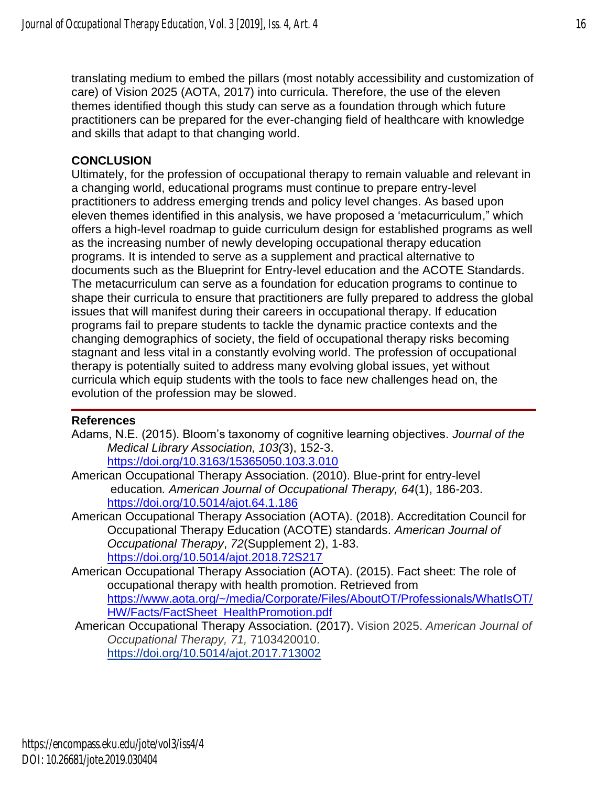translating medium to embed the pillars (most notably accessibility and customization of care) of Vision 2025 (AOTA, 2017) into curricula. Therefore, the use of the eleven themes identified though this study can serve as a foundation through which future practitioners can be prepared for the ever-changing field of healthcare with knowledge and skills that adapt to that changing world.

## **CONCLUSION**

Ultimately, for the profession of occupational therapy to remain valuable and relevant in a changing world, educational programs must continue to prepare entry-level practitioners to address emerging trends and policy level changes. As based upon eleven themes identified in this analysis, we have proposed a 'metacurriculum," which offers a high-level roadmap to guide curriculum design for established programs as well as the increasing number of newly developing occupational therapy education programs. It is intended to serve as a supplement and practical alternative to documents such as the Blueprint for Entry-level education and the ACOTE Standards. The metacurriculum can serve as a foundation for education programs to continue to shape their curricula to ensure that practitioners are fully prepared to address the global issues that will manifest during their careers in occupational therapy. If education programs fail to prepare students to tackle the dynamic practice contexts and the changing demographics of society, the field of occupational therapy risks becoming stagnant and less vital in a constantly evolving world. The profession of occupational therapy is potentially suited to address many evolving global issues, yet without curricula which equip students with the tools to face new challenges head on, the evolution of the profession may be slowed.

## **References**

- Adams, N.E. (2015). Bloom's taxonomy of cognitive learning objectives. *Journal of the Medical Library Association, 103(*3), 152-3. <https://doi.org/10.3163/15365050.103.3.010>
- American Occupational Therapy Association. (2010). Blue-print for entry-level education*. American Journal of Occupational Therapy, 64*(1), 186-203. <https://doi.org/10.5014/ajot.64.1.186>
- American Occupational Therapy Association (AOTA). (2018). Accreditation Council for Occupational Therapy Education (ACOTE) standards. *American Journal of Occupational Therapy*, *72*(Supplement 2), 1-83. <https://doi.org/10.5014/ajot.2018.72S217>
- American Occupational Therapy Association (AOTA). (2015). Fact sheet: The role of occupational therapy with health promotion. Retrieved from [https://www.aota.org/~/media/Corporate/Files/AboutOT/Professionals/WhatIsOT/](https://www.aota.org/~/media/Corporate/Files/AboutOT/Professionals/WhatIsOT/HW/Facts/FactSheet_HealthPromotion.pdf) [HW/Facts/FactSheet\\_HealthPromotion.pdf](https://www.aota.org/~/media/Corporate/Files/AboutOT/Professionals/WhatIsOT/HW/Facts/FactSheet_HealthPromotion.pdf)
- American [Occupational](http://ajot.aota.org/article.aspx?articleid=2618318&resultClick=3) Therapy Association. (2017). Vision 2025. *American Journal of Occupational Therapy, 71,* 7103420010. <https://doi.org/10.5014/ajot.2017.713002>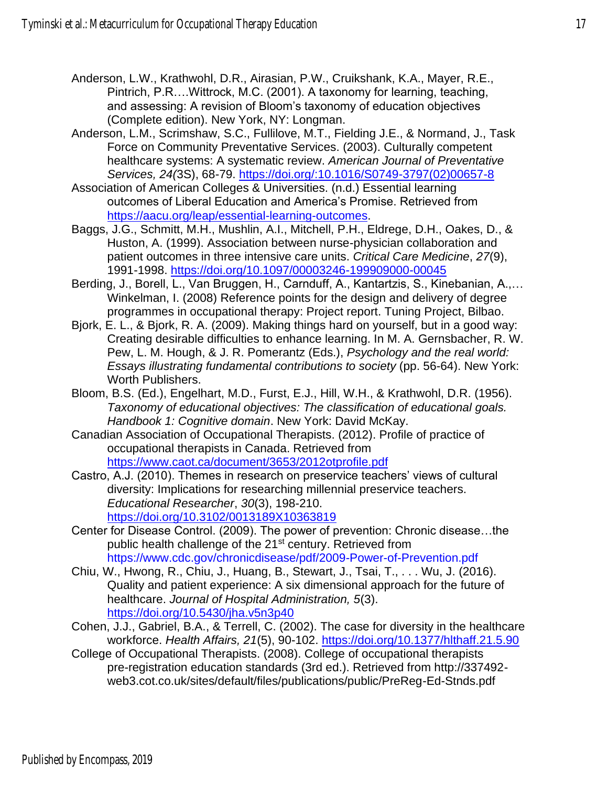- Anderson, L.W., Krathwohl, D.R., Airasian, P.W., Cruikshank, K.A., Mayer, R.E., Pintrich, P.R….Wittrock, M.C. (2001). A taxonomy for learning, teaching, and assessing: A revision of Bloom's taxonomy of education objectives (Complete edition). New York, NY: Longman.
- Anderson, L.M., Scrimshaw, S.C., Fullilove, M.T., Fielding J.E., & Normand, J., Task Force on Community Preventative Services. (2003). Culturally competent healthcare systems: A systematic review. *American Journal of Preventative Services, 24(*3S), 68-79. [https://doi.org/:10.1016/S0749-3797\(02\)00657-8](https://doi.org/:10.1016/S0749-3797(02)00657-8)
- Association of American Colleges & Universities. (n.d.) Essential learning outcomes of Liberal Education and America's Promise. Retrieved from [https://aacu.org/leap/essential-learning-outcomes.](https://aacu.org/leap/essential-learning-outcomes)
- Baggs, J.G., Schmitt, M.H., Mushlin, A.I., Mitchell, P.H., Eldrege, D.H., Oakes, D., & Huston, A. (1999). Association between nurse-physician collaboration and patient outcomes in three intensive care units. *Critical Care Medicine*, *27*(9), 1991-1998.<https://doi.org/10.1097/00003246-199909000-00045>
- Berding, J., Borell, L., Van Bruggen, H., Carnduff, A., Kantartzis, S., Kinebanian, A.,… Winkelman, I. (2008) Reference points for the design and delivery of degree programmes in occupational therapy: Project report. Tuning Project, Bilbao.
- Bjork, E. L., & Bjork, R. A. (2009). Making things hard on yourself, but in a good way: Creating desirable difficulties to enhance learning. In M. A. Gernsbacher, R. W. Pew, L. M. Hough, & J. R. Pomerantz (Eds.), *Psychology and the real world: Essays illustrating fundamental contributions to society* (pp. 56-64). New York: Worth Publishers.
- Bloom, B.S. (Ed.), Engelhart, M.D., Furst, E.J., Hill, W.H., & Krathwohl, D.R. (1956). *Taxonomy of educational objectives: The classification of educational goals. Handbook 1: Cognitive domain*. New York: David McKay.
- Canadian Association of Occupational Therapists. (2012). Profile of practice of occupational therapists in Canada. Retrieved from <https://www.caot.ca/document/3653/2012otprofile.pdf>
- Castro, A.J. (2010). Themes in research on preservice teachers' views of cultural diversity: Implications for researching millennial preservice teachers. *Educational Researcher*, *30*(3), 198-210. <https://doi.org/10.3102/0013189X10363819>
- Center for Disease Control. (2009). The power of prevention: Chronic disease…the public health challenge of the 21<sup>st</sup> century. Retrieved from <https://www.cdc.gov/chronicdisease/pdf/2009-Power-of-Prevention.pdf>
- Chiu, W., Hwong, R., Chiu, J., Huang, B., Stewart, J., Tsai, T., . . . Wu, J. (2016). Quality and patient experience: A six dimensional approach for the future of healthcare. *Journal of Hospital Administration, 5*(3). <https://doi.org/10.5430/jha.v5n3p40>
- Cohen, J.J., Gabriel, B.A., & Terrell, C. (2002). The case for diversity in the healthcare workforce. *Health Affairs, 21*(5), 90-102.<https://doi.org/10.1377/hlthaff.21.5.90>
- College of Occupational Therapists. (2008). College of occupational therapists pre-registration education standards (3rd ed.). Retrieved from http://337492 web3.cot.co.uk/sites/default/files/publications/public/PreReg-Ed-Stnds.pdf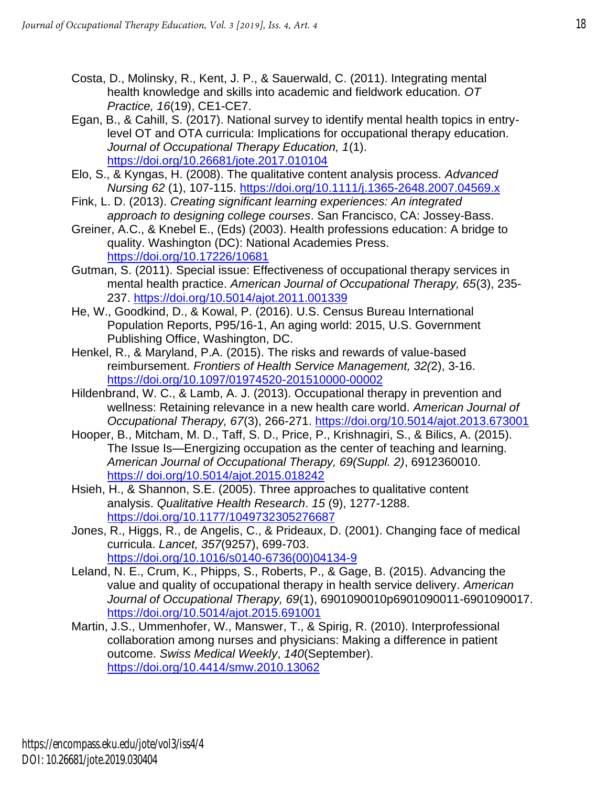- Costa, D., Molinsky, R., Kent, J. P., & Sauerwald, C. (2011). Integrating mental health knowledge and skills into academic and fieldwork education. *OT Practice, 16*(19), CE1-CE7.
- Egan, B., & Cahill, S. (2017). National survey to identify mental health topics in entrylevel OT and OTA curricula: Implications for occupational therapy education. *Journal of Occupational Therapy Education, 1*(1). <https://doi.org/10.26681/jote.2017.010104>
- Elo, S., & Kyngas, H. (2008). The qualitative content analysis process. *Advanced Nursing 62* (1), 107-115.<https://doi.org/10.1111/j.1365-2648.2007.04569.x>
- Fink, L. D. (2013). *Creating significant learning experiences: An integrated approach to designing college courses*. San Francisco, CA: Jossey-Bass.
- Greiner, A.C., & Knebel E., (Eds) (2003). Health professions education: A bridge to quality. Washington (DC): National Academies Press. <https://doi.org/10.17226/10681>
- Gutman, S. (2011). Special issue: Effectiveness of occupational therapy services in mental health practice. *American Journal of Occupational Therapy, 65*(3), 235- 237.<https://doi.org/10.5014/ajot.2011.001339>
- He, W., Goodkind, D., & Kowal, P. (2016). U.S. Census Bureau International Population Reports, P95/16-1, An aging world: 2015, U.S. Government Publishing Office, Washington, DC.
- Henkel, R., & Maryland, P.A. (2015). The risks and rewards of value-based reimbursement. *Frontiers of Health Service Management, 32(*2), 3-16. <https://doi.org/10.1097/01974520-201510000-00002>
- Hildenbrand, W. C., & Lamb, A. J. (2013). Occupational therapy in prevention and wellness: Retaining relevance in a new health care world. *American Journal of Occupational Therapy, 67*(3), 266-271.<https://doi.org/10.5014/ajot.2013.673001>
- Hooper, B., Mitcham, M. D., Taff, S. D., Price, P., Krishnagiri, S., & Bilics, A. (2015). The Issue Is—Energizing occupation as the center of teaching and learning. *American Journal of Occupational Therapy, 69(Suppl. 2)*, 6912360010. https:// doi.org/10.5014/ajot.2015.018242
- Hsieh, H., & Shannon, S.E. (2005). Three approaches to qualitative content analysis. *Qualitative Health Research*. *15* (9), 1277-1288. <https://doi.org/10.1177/1049732305276687>
- Jones, R., Higgs, R., de Angelis, C., & Prideaux, D. (2001). Changing face of medical curricula. *Lancet, 357*(9257), 699-703. [https://doi.org/10.1016/s0140-6736\(00\)04134-9](https://doi.org/10.1016/s0140-6736(00)04134-9)
- Leland, N. E., Crum, K., Phipps, S., Roberts, P., & Gage, B. (2015). Advancing the value and quality of occupational therapy in health service delivery. *American Journal of Occupational Therapy, 69*(1), 6901090010p6901090011-6901090017. <https://doi.org/10.5014/ajot.2015.691001>
- Martin, J.S., Ummenhofer, W., Manswer, T., & Spirig, R. (2010). Interprofessional collaboration among nurses and physicians: Making a difference in patient outcome. *Swiss Medical Weekly*, *140*(September). <https://doi.org/10.4414/smw.2010.13062>